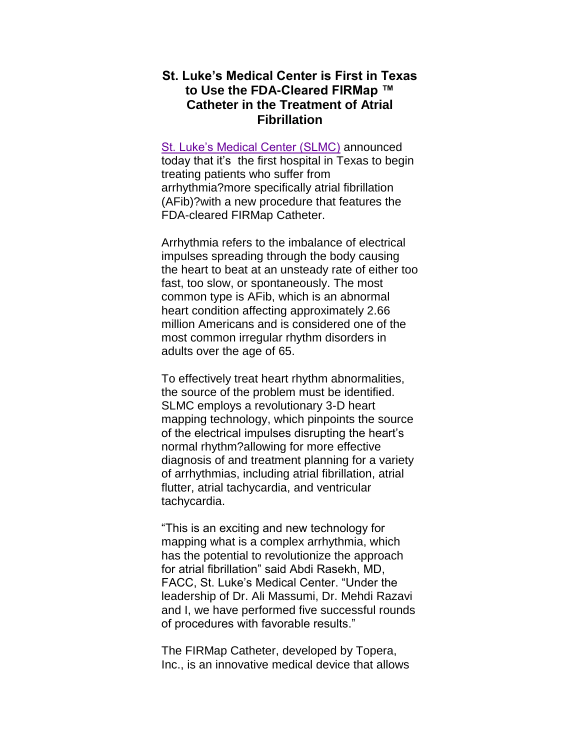## **St. Luke's Medical Center is First in Texas to Use the FDA-Cleared FIRMap ™ Catheter in the Treatment of Atrial Fibrillation**

[St. Luke's Medical Center \(SLMC\)](http://www.stlukeshouston.com/) announced today that it's the first hospital in Texas to begin treating patients who suffer from arrhythmia?more specifically atrial fibrillation (AFib)?with a new procedure that features the FDA-cleared FIRMap Catheter.

Arrhythmia refers to the imbalance of electrical impulses spreading through the body causing the heart to beat at an unsteady rate of either too fast, too slow, or spontaneously. The most common type is AFib, which is an abnormal heart condition affecting approximately 2.66 million Americans and is considered one of the most common irregular rhythm disorders in adults over the age of 65.

To effectively treat heart rhythm abnormalities, the source of the problem must be identified. SLMC employs a revolutionary 3-D heart mapping technology, which pinpoints the source of the electrical impulses disrupting the heart's normal rhythm?allowing for more effective diagnosis of and treatment planning for a variety of arrhythmias, including atrial fibrillation, atrial flutter, atrial tachycardia, and ventricular tachycardia.

"This is an exciting and new technology for mapping what is a complex arrhythmia, which has the potential to revolutionize the approach for atrial fibrillation" said Abdi Rasekh, MD, FACC, St. Luke's Medical Center. "Under the leadership of Dr. Ali Massumi, Dr. Mehdi Razavi and I, we have performed five successful rounds of procedures with favorable results."

The FIRMap Catheter, developed by Topera, Inc., is an innovative medical device that allows